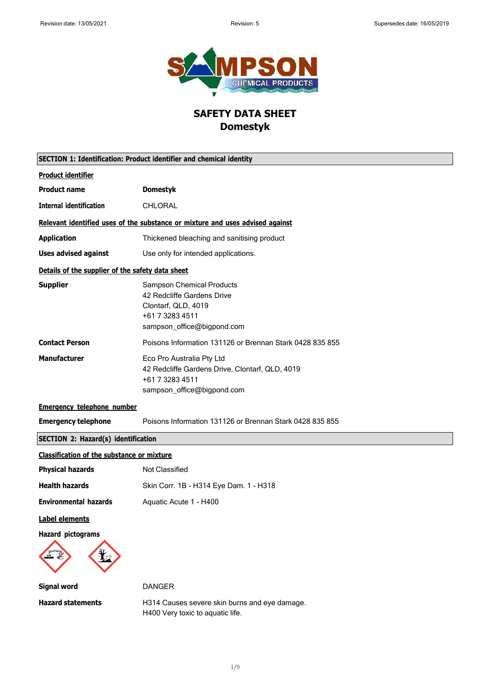

# **SAFETY DATA SHEET Domestyk**

| SECTION 1: Identification: Product identifier and chemical identity |                                                                                                                                        |
|---------------------------------------------------------------------|----------------------------------------------------------------------------------------------------------------------------------------|
| <b>Product identifier</b>                                           |                                                                                                                                        |
| <b>Product name</b>                                                 | <b>Domestyk</b>                                                                                                                        |
| <b>Internal identification</b>                                      | <b>CHLORAL</b>                                                                                                                         |
|                                                                     | Relevant identified uses of the substance or mixture and uses advised against                                                          |
| <b>Application</b>                                                  | Thickened bleaching and sanitising product                                                                                             |
| <b>Uses advised against</b>                                         | Use only for intended applications.                                                                                                    |
| Details of the supplier of the safety data sheet                    |                                                                                                                                        |
| <b>Supplier</b>                                                     | <b>Sampson Chemical Products</b><br>42 Redcliffe Gardens Drive<br>Clontarf, QLD, 4019<br>+61 7 3283 4511<br>sampson_office@bigpond.com |
| <b>Contact Person</b>                                               | Poisons Information 131126 or Brennan Stark 0428 835 855                                                                               |
| <b>Manufacturer</b>                                                 | Eco Pro Australia Pty Ltd<br>42 Redcliffe Gardens Drive, Clontarf, QLD, 4019<br>+61 7 3283 4511<br>sampson_office@bigpond.com          |
| <b>Emergency telephone number</b>                                   |                                                                                                                                        |
| <b>Emergency telephone</b>                                          | Poisons Information 131126 or Brennan Stark 0428 835 855                                                                               |
| <b>SECTION 2: Hazard(s) identification</b>                          |                                                                                                                                        |
| <b>Classification of the substance or mixture</b>                   |                                                                                                                                        |
| <b>Physical hazards</b>                                             | Not Classified                                                                                                                         |
| <b>Health hazards</b>                                               | Skin Corr. 1B - H314 Eye Dam. 1 - H318                                                                                                 |
| <b>Environmental hazards</b>                                        | Aquatic Acute 1 - H400                                                                                                                 |
| <b>Label elements</b>                                               |                                                                                                                                        |
| <b>Hazard pictograms</b>                                            |                                                                                                                                        |
| <b>Signal word</b>                                                  | <b>DANGER</b>                                                                                                                          |
| <b>Hazard statements</b>                                            | H314 Causes severe skin burns and eye damage.<br>H400 Very toxic to aquatic life.                                                      |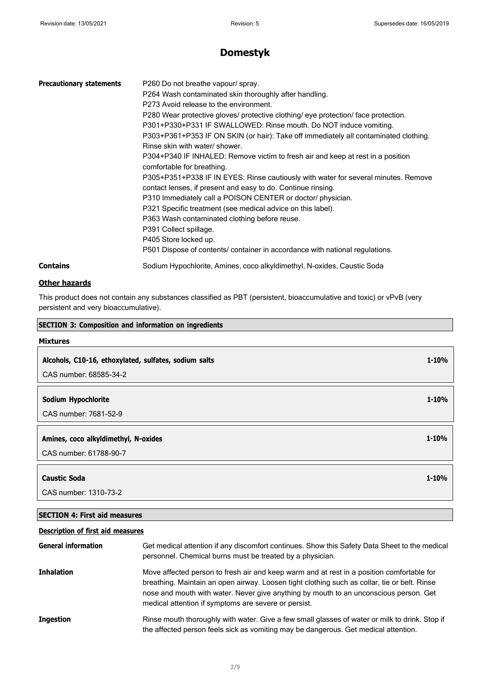## **Domestyk**

| <b>Precautionary statements</b> | P260 Do not breathe vapour/ spray.<br>P264 Wash contaminated skin thoroughly after handling.<br>P273 Avoid release to the environment.<br>P280 Wear protective gloves/ protective clothing/ eye protection/ face protection.<br>P301+P330+P331 IF SWALLOWED: Rinse mouth. Do NOT induce vomiting.<br>P303+P361+P353 IF ON SKIN (or hair): Take off immediately all contaminated clothing.<br>Rinse skin with water/ shower.<br>P304+P340 IF INHALED: Remove victim to fresh air and keep at rest in a position<br>comfortable for breathing.<br>P305+P351+P338 IF IN EYES: Rinse cautiously with water for several minutes. Remove<br>contact lenses, if present and easy to do. Continue rinsing.<br>P310 Immediately call a POISON CENTER or doctor/ physician.<br>P321 Specific treatment (see medical advice on this label).<br>P363 Wash contaminated clothing before reuse.<br>P391 Collect spillage.<br>P405 Store locked up.<br>P501 Dispose of contents/ container in accordance with national regulations. |
|---------------------------------|----------------------------------------------------------------------------------------------------------------------------------------------------------------------------------------------------------------------------------------------------------------------------------------------------------------------------------------------------------------------------------------------------------------------------------------------------------------------------------------------------------------------------------------------------------------------------------------------------------------------------------------------------------------------------------------------------------------------------------------------------------------------------------------------------------------------------------------------------------------------------------------------------------------------------------------------------------------------------------------------------------------------|
| <b>Contains</b>                 | Sodium Hypochlorite, Amines, coco alkyldimethyl, N-oxides, Caustic Soda                                                                                                                                                                                                                                                                                                                                                                                                                                                                                                                                                                                                                                                                                                                                                                                                                                                                                                                                              |

#### **Other hazards**

This product does not contain any substances classified as PBT (persistent, bioaccumulative and toxic) or vPvB (very persistent and very bioaccumulative).

| <b>SECTION 3: Composition and information on ingredients</b> |           |
|--------------------------------------------------------------|-----------|
| <b>Mixtures</b>                                              |           |
| Alcohols, C10-16, ethoxylated, sulfates, sodium salts        | $1 - 10%$ |
| CAS number: 68585-34-2                                       |           |
| Sodium Hypochlorite                                          | $1 - 10%$ |
| CAS number: 7681-52-9                                        |           |
| Amines, coco alkyldimethyl, N-oxides                         | $1 - 10%$ |
| CAS number: 61788-90-7                                       |           |
| <b>Caustic Soda</b>                                          | $1 - 10%$ |
| CAS number: 1310-73-2                                        |           |

### **SECTION 4: First aid measures**

### **Description of first aid measures**

| <b>General information</b> | Get medical attention if any discomfort continues. Show this Safety Data Sheet to the medical<br>personnel. Chemical burns must be treated by a physician.                                                                                                                                                                                 |
|----------------------------|--------------------------------------------------------------------------------------------------------------------------------------------------------------------------------------------------------------------------------------------------------------------------------------------------------------------------------------------|
| <b>Inhalation</b>          | Move affected person to fresh air and keep warm and at rest in a position comfortable for<br>breathing. Maintain an open airway. Loosen tight clothing such as collar, tie or belt. Rinse<br>nose and mouth with water. Never give anything by mouth to an unconscious person. Get<br>medical attention if symptoms are severe or persist. |
| <b>Ingestion</b>           | Rinse mouth thoroughly with water. Give a few small glasses of water or milk to drink. Stop if<br>the affected person feels sick as vomiting may be dangerous. Get medical attention.                                                                                                                                                      |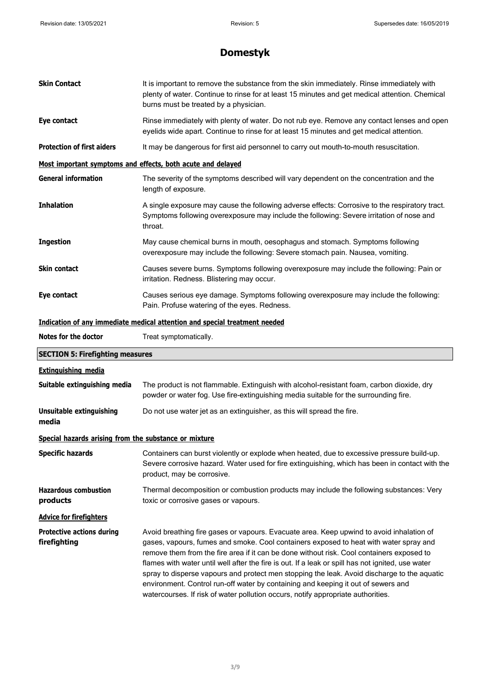| <b>Skin Contact</b>                                         | It is important to remove the substance from the skin immediately. Rinse immediately with<br>plenty of water. Continue to rinse for at least 15 minutes and get medical attention. Chemical<br>burns must be treated by a physician. |
|-------------------------------------------------------------|--------------------------------------------------------------------------------------------------------------------------------------------------------------------------------------------------------------------------------------|
| Eye contact                                                 | Rinse immediately with plenty of water. Do not rub eye. Remove any contact lenses and open<br>eyelids wide apart. Continue to rinse for at least 15 minutes and get medical attention.                                               |
| <b>Protection of first aiders</b>                           | It may be dangerous for first aid personnel to carry out mouth-to-mouth resuscitation.                                                                                                                                               |
| Most important symptoms and effects, both acute and delayed |                                                                                                                                                                                                                                      |
| <b>General information</b>                                  | The severity of the symptoms described will vary dependent on the concentration and the<br>length of exposure.                                                                                                                       |
| <b>Inhalation</b>                                           | A single exposure may cause the following adverse effects: Corrosive to the respiratory tract.<br>Symptoms following overexposure may include the following: Severe irritation of nose and<br>throat.                                |
| <b>Ingestion</b>                                            | May cause chemical burns in mouth, oesophagus and stomach. Symptoms following<br>overexposure may include the following: Severe stomach pain. Nausea, vomiting.                                                                      |
| <b>Skin contact</b>                                         | Causes severe burns. Symptoms following overexposure may include the following: Pain or<br>irritation. Redness. Blistering may occur.                                                                                                |
| Eye contact                                                 | Causes serious eye damage. Symptoms following overexposure may include the following:<br>Pain. Profuse watering of the eyes. Redness.                                                                                                |
|                                                             | Indication of any immediate medical attention and special treatment needed                                                                                                                                                           |
| Notes for the doctor                                        | Treat symptomatically.                                                                                                                                                                                                               |
|                                                             |                                                                                                                                                                                                                                      |
| <b>SECTION 5: Firefighting measures</b>                     |                                                                                                                                                                                                                                      |
| <b>Extinguishing media</b>                                  |                                                                                                                                                                                                                                      |
| Suitable extinguishing media                                | The product is not flammable. Extinguish with alcohol-resistant foam, carbon dioxide, dry<br>powder or water fog. Use fire-extinguishing media suitable for the surrounding fire.                                                    |
| Unsuitable extinguishing<br>media                           | Do not use water jet as an extinguisher, as this will spread the fire.                                                                                                                                                               |
| Special hazards arising from the substance or mixture       |                                                                                                                                                                                                                                      |
| <b>Specific hazards</b>                                     | Containers can burst violently or explode when heated, due to excessive pressure build-up.<br>Severe corrosive hazard. Water used for fire extinguishing, which has been in contact with the<br>product, may be corrosive.           |
| <b>Hazardous combustion</b><br>products                     | Thermal decomposition or combustion products may include the following substances: Very<br>toxic or corrosive gases or vapours.                                                                                                      |
| <b>Advice for firefighters</b>                              |                                                                                                                                                                                                                                      |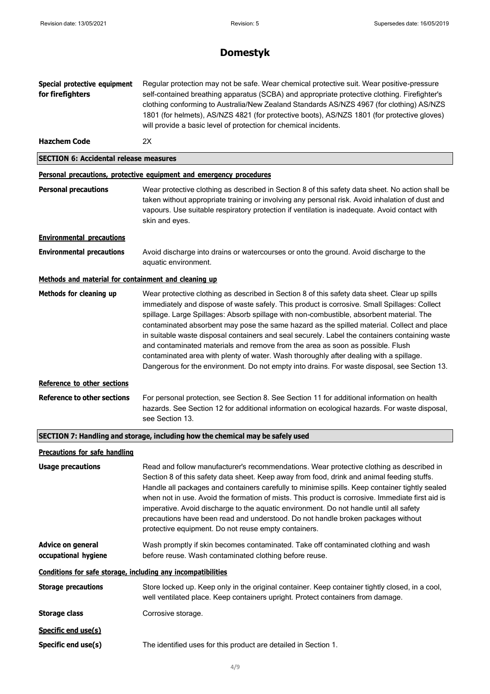| Special protective equipment<br>for firefighters             | Regular protection may not be safe. Wear chemical protective suit. Wear positive-pressure<br>self-contained breathing apparatus (SCBA) and appropriate protective clothing. Firefighter's<br>clothing conforming to Australia/New Zealand Standards AS/NZS 4967 (for clothing) AS/NZS<br>1801 (for helmets), AS/NZS 4821 (for protective boots), AS/NZS 1801 (for protective gloves)<br>will provide a basic level of protection for chemical incidents.                                                                                                                                                                                                                                                                                                              |
|--------------------------------------------------------------|-----------------------------------------------------------------------------------------------------------------------------------------------------------------------------------------------------------------------------------------------------------------------------------------------------------------------------------------------------------------------------------------------------------------------------------------------------------------------------------------------------------------------------------------------------------------------------------------------------------------------------------------------------------------------------------------------------------------------------------------------------------------------|
| <b>Hazchem Code</b>                                          | 2X                                                                                                                                                                                                                                                                                                                                                                                                                                                                                                                                                                                                                                                                                                                                                                    |
| <b>SECTION 6: Accidental release measures</b>                |                                                                                                                                                                                                                                                                                                                                                                                                                                                                                                                                                                                                                                                                                                                                                                       |
|                                                              | Personal precautions, protective equipment and emergency procedures                                                                                                                                                                                                                                                                                                                                                                                                                                                                                                                                                                                                                                                                                                   |
| <b>Personal precautions</b>                                  | Wear protective clothing as described in Section 8 of this safety data sheet. No action shall be<br>taken without appropriate training or involving any personal risk. Avoid inhalation of dust and<br>vapours. Use suitable respiratory protection if ventilation is inadequate. Avoid contact with<br>skin and eyes.                                                                                                                                                                                                                                                                                                                                                                                                                                                |
| <b>Environmental precautions</b>                             |                                                                                                                                                                                                                                                                                                                                                                                                                                                                                                                                                                                                                                                                                                                                                                       |
| <b>Environmental precautions</b>                             | Avoid discharge into drains or watercourses or onto the ground. Avoid discharge to the<br>aquatic environment.                                                                                                                                                                                                                                                                                                                                                                                                                                                                                                                                                                                                                                                        |
| Methods and material for containment and cleaning up         |                                                                                                                                                                                                                                                                                                                                                                                                                                                                                                                                                                                                                                                                                                                                                                       |
| Methods for cleaning up                                      | Wear protective clothing as described in Section 8 of this safety data sheet. Clear up spills<br>immediately and dispose of waste safely. This product is corrosive. Small Spillages: Collect<br>spillage. Large Spillages: Absorb spillage with non-combustible, absorbent material. The<br>contaminated absorbent may pose the same hazard as the spilled material. Collect and place<br>in suitable waste disposal containers and seal securely. Label the containers containing waste<br>and contaminated materials and remove from the area as soon as possible. Flush<br>contaminated area with plenty of water. Wash thoroughly after dealing with a spillage.<br>Dangerous for the environment. Do not empty into drains. For waste disposal, see Section 13. |
| Reference to other sections                                  |                                                                                                                                                                                                                                                                                                                                                                                                                                                                                                                                                                                                                                                                                                                                                                       |
| <b>Reference to other sections</b>                           | For personal protection, see Section 8. See Section 11 for additional information on health<br>hazards. See Section 12 for additional information on ecological hazards. For waste disposal,<br>see Section 13.                                                                                                                                                                                                                                                                                                                                                                                                                                                                                                                                                       |
|                                                              | SECTION 7: Handling and storage, including how the chemical may be safely used                                                                                                                                                                                                                                                                                                                                                                                                                                                                                                                                                                                                                                                                                        |
| <b>Precautions for safe handling</b>                         |                                                                                                                                                                                                                                                                                                                                                                                                                                                                                                                                                                                                                                                                                                                                                                       |
| <b>Usage precautions</b>                                     | Read and follow manufacturer's recommendations. Wear protective clothing as described in<br>Section 8 of this safety data sheet. Keep away from food, drink and animal feeding stuffs.<br>Handle all packages and containers carefully to minimise spills. Keep container tightly sealed<br>when not in use. Avoid the formation of mists. This product is corrosive. Immediate first aid is<br>imperative. Avoid discharge to the aquatic environment. Do not handle until all safety<br>precautions have been read and understood. Do not handle broken packages without<br>protective equipment. Do not reuse empty containers.                                                                                                                                    |
| Advice on general<br>occupational hygiene                    | Wash promptly if skin becomes contaminated. Take off contaminated clothing and wash<br>before reuse. Wash contaminated clothing before reuse.                                                                                                                                                                                                                                                                                                                                                                                                                                                                                                                                                                                                                         |
| Conditions for safe storage, including any incompatibilities |                                                                                                                                                                                                                                                                                                                                                                                                                                                                                                                                                                                                                                                                                                                                                                       |
| <b>Storage precautions</b>                                   | Store locked up. Keep only in the original container. Keep container tightly closed, in a cool,<br>well ventilated place. Keep containers upright. Protect containers from damage.                                                                                                                                                                                                                                                                                                                                                                                                                                                                                                                                                                                    |
| <b>Storage class</b>                                         | Corrosive storage.                                                                                                                                                                                                                                                                                                                                                                                                                                                                                                                                                                                                                                                                                                                                                    |
| Specific end use(s)                                          |                                                                                                                                                                                                                                                                                                                                                                                                                                                                                                                                                                                                                                                                                                                                                                       |
| Specific end use(s)                                          | The identified uses for this product are detailed in Section 1.                                                                                                                                                                                                                                                                                                                                                                                                                                                                                                                                                                                                                                                                                                       |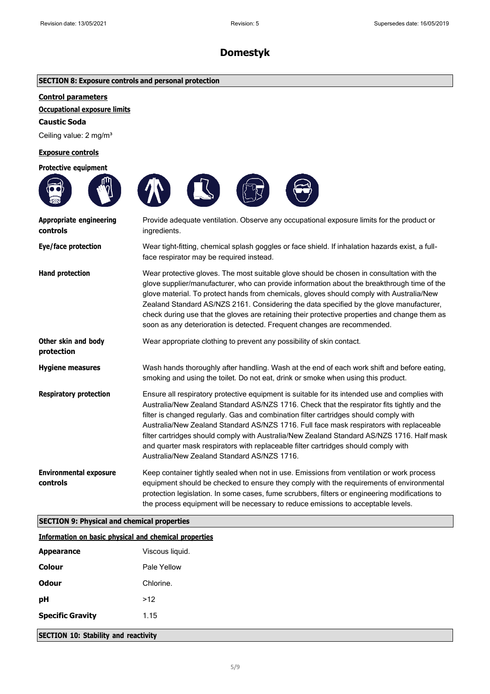| <b>SECTION 8: Exposure controls and personal protection</b> |  |
|-------------------------------------------------------------|--|
|                                                             |  |

#### **Control parameters**

#### **Occupational exposure limits**

**Caustic Soda**

Ceiling value: 2 mg/m<sup>3</sup>

#### **Exposure controls**

| <b>Protective equipment</b>                                  |                                                                                                                                                                                                                                                                                                                                                                                                                                                                                                                                                                                                                     |
|--------------------------------------------------------------|---------------------------------------------------------------------------------------------------------------------------------------------------------------------------------------------------------------------------------------------------------------------------------------------------------------------------------------------------------------------------------------------------------------------------------------------------------------------------------------------------------------------------------------------------------------------------------------------------------------------|
|                                                              |                                                                                                                                                                                                                                                                                                                                                                                                                                                                                                                                                                                                                     |
| <b>Appropriate engineering</b><br>controls                   | Provide adequate ventilation. Observe any occupational exposure limits for the product or<br>ingredients.                                                                                                                                                                                                                                                                                                                                                                                                                                                                                                           |
| Eye/face protection                                          | Wear tight-fitting, chemical splash goggles or face shield. If inhalation hazards exist, a full-<br>face respirator may be required instead.                                                                                                                                                                                                                                                                                                                                                                                                                                                                        |
| <b>Hand protection</b>                                       | Wear protective gloves. The most suitable glove should be chosen in consultation with the<br>glove supplier/manufacturer, who can provide information about the breakthrough time of the<br>glove material. To protect hands from chemicals, gloves should comply with Australia/New<br>Zealand Standard AS/NZS 2161. Considering the data specified by the glove manufacturer,<br>check during use that the gloves are retaining their protective properties and change them as<br>soon as any deterioration is detected. Frequent changes are recommended.                                                        |
| Other skin and body<br>protection                            | Wear appropriate clothing to prevent any possibility of skin contact.                                                                                                                                                                                                                                                                                                                                                                                                                                                                                                                                               |
| <b>Hygiene measures</b>                                      | Wash hands thoroughly after handling. Wash at the end of each work shift and before eating,<br>smoking and using the toilet. Do not eat, drink or smoke when using this product.                                                                                                                                                                                                                                                                                                                                                                                                                                    |
| <b>Respiratory protection</b>                                | Ensure all respiratory protective equipment is suitable for its intended use and complies with<br>Australia/New Zealand Standard AS/NZS 1716. Check that the respirator fits tightly and the<br>filter is changed regularly. Gas and combination filter cartridges should comply with<br>Australia/New Zealand Standard AS/NZS 1716. Full face mask respirators with replaceable<br>filter cartridges should comply with Australia/New Zealand Standard AS/NZS 1716. Half mask<br>and quarter mask respirators with replaceable filter cartridges should comply with<br>Australia/New Zealand Standard AS/NZS 1716. |
| <b>Environmental exposure</b><br>controls                    | Keep container tightly sealed when not in use. Emissions from ventilation or work process<br>equipment should be checked to ensure they comply with the requirements of environmental<br>protection legislation. In some cases, fume scrubbers, filters or engineering modifications to<br>the process equipment will be necessary to reduce emissions to acceptable levels.                                                                                                                                                                                                                                        |
| <b>SECTION 9: Physical and chemical properties</b>           |                                                                                                                                                                                                                                                                                                                                                                                                                                                                                                                                                                                                                     |
| <b>Information on basic physical and chemical properties</b> |                                                                                                                                                                                                                                                                                                                                                                                                                                                                                                                                                                                                                     |
|                                                              |                                                                                                                                                                                                                                                                                                                                                                                                                                                                                                                                                                                                                     |

| <b>Appearance</b>       | Viscous liquid. |
|-------------------------|-----------------|
| Colour                  | Pale Yellow     |
| Odour                   | Chlorine.       |
| рH                      | >12             |
| <b>Specific Gravity</b> | 1.15            |
|                         |                 |

**SECTION 10: Stability and reactivity**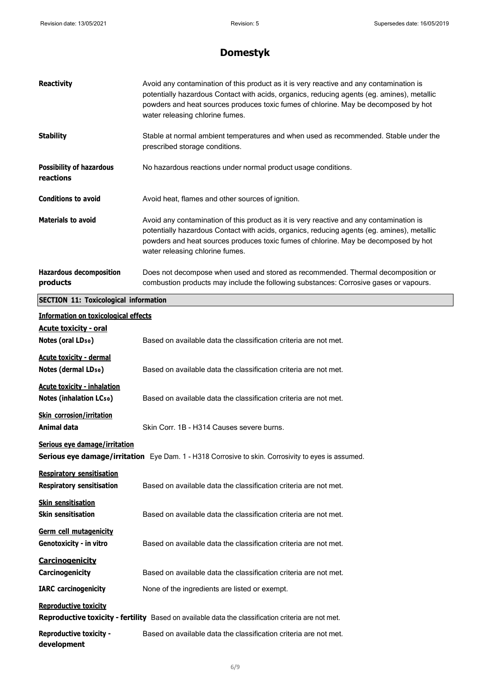**development**

| <b>Reactivity</b>                                                    | Avoid any contamination of this product as it is very reactive and any contamination is<br>potentially hazardous Contact with acids, organics, reducing agents (eg. amines), metallic<br>powders and heat sources produces toxic fumes of chlorine. May be decomposed by hot<br>water releasing chlorine fumes. |
|----------------------------------------------------------------------|-----------------------------------------------------------------------------------------------------------------------------------------------------------------------------------------------------------------------------------------------------------------------------------------------------------------|
| <b>Stability</b>                                                     | Stable at normal ambient temperatures and when used as recommended. Stable under the<br>prescribed storage conditions.                                                                                                                                                                                          |
| <b>Possibility of hazardous</b><br>reactions                         | No hazardous reactions under normal product usage conditions.                                                                                                                                                                                                                                                   |
| <b>Conditions to avoid</b>                                           | Avoid heat, flames and other sources of ignition.                                                                                                                                                                                                                                                               |
| <b>Materials to avoid</b>                                            | Avoid any contamination of this product as it is very reactive and any contamination is<br>potentially hazardous Contact with acids, organics, reducing agents (eg. amines), metallic<br>powders and heat sources produces toxic fumes of chlorine. May be decomposed by hot<br>water releasing chlorine fumes. |
| <b>Hazardous decomposition</b><br>products                           | Does not decompose when used and stored as recommended. Thermal decomposition or<br>combustion products may include the following substances: Corrosive gases or vapours.                                                                                                                                       |
| <b>SECTION 11: Toxicological information</b>                         |                                                                                                                                                                                                                                                                                                                 |
| <b>Information on toxicological effects</b>                          |                                                                                                                                                                                                                                                                                                                 |
| <b>Acute toxicity - oral</b>                                         |                                                                                                                                                                                                                                                                                                                 |
| Notes (oral LD <sub>50</sub> )                                       | Based on available data the classification criteria are not met.                                                                                                                                                                                                                                                |
| <b>Acute toxicity - dermal</b><br>Notes (dermal LD <sub>50</sub> )   | Based on available data the classification criteria are not met.                                                                                                                                                                                                                                                |
| <b>Acute toxicity - inhalation</b><br><b>Notes (inhalation LCso)</b> | Based on available data the classification criteria are not met.                                                                                                                                                                                                                                                |
| <b>Skin corrosion/irritation</b><br>Animal data                      | Skin Corr. 1B - H314 Causes severe burns.                                                                                                                                                                                                                                                                       |
| Serious eye damage/irritation                                        | Serious eye damage/irritation Eye Dam. 1 - H318 Corrosive to skin. Corrosivity to eyes is assumed.                                                                                                                                                                                                              |
| <b>Respiratory sensitisation</b><br><b>Respiratory sensitisation</b> | Based on available data the classification criteria are not met.                                                                                                                                                                                                                                                |
| <b>Skin sensitisation</b><br><b>Skin sensitisation</b>               | Based on available data the classification criteria are not met.                                                                                                                                                                                                                                                |
| Germ cell mutagenicity<br>Genotoxicity - in vitro                    | Based on available data the classification criteria are not met.                                                                                                                                                                                                                                                |
| <b>Carcinogenicity</b>                                               |                                                                                                                                                                                                                                                                                                                 |
| Carcinogenicity                                                      | Based on available data the classification criteria are not met.                                                                                                                                                                                                                                                |
| <b>IARC</b> carcinogenicity                                          | None of the ingredients are listed or exempt.                                                                                                                                                                                                                                                                   |
| <b>Reproductive toxicity</b>                                         | Reproductive toxicity - fertility Based on available data the classification criteria are not met.                                                                                                                                                                                                              |
| <b>Reproductive toxicity -</b>                                       | Based on available data the classification criteria are not met.                                                                                                                                                                                                                                                |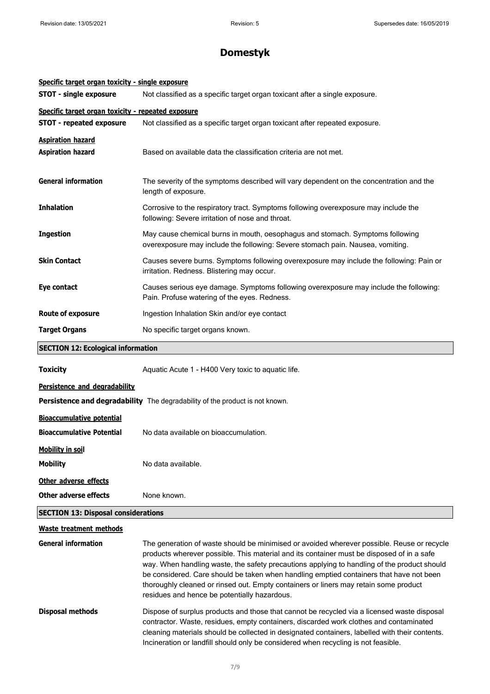| Specific target organ toxicity - single exposure   |                                                                                                                                                                                                                                                                                                                                                                                                                                                                                                                           |  |
|----------------------------------------------------|---------------------------------------------------------------------------------------------------------------------------------------------------------------------------------------------------------------------------------------------------------------------------------------------------------------------------------------------------------------------------------------------------------------------------------------------------------------------------------------------------------------------------|--|
| <b>STOT - single exposure</b>                      | Not classified as a specific target organ toxicant after a single exposure.                                                                                                                                                                                                                                                                                                                                                                                                                                               |  |
| Specific target organ toxicity - repeated exposure |                                                                                                                                                                                                                                                                                                                                                                                                                                                                                                                           |  |
| <b>STOT - repeated exposure</b>                    | Not classified as a specific target organ toxicant after repeated exposure.                                                                                                                                                                                                                                                                                                                                                                                                                                               |  |
| <b>Aspiration hazard</b>                           |                                                                                                                                                                                                                                                                                                                                                                                                                                                                                                                           |  |
| <b>Aspiration hazard</b>                           | Based on available data the classification criteria are not met.                                                                                                                                                                                                                                                                                                                                                                                                                                                          |  |
| <b>General information</b>                         | The severity of the symptoms described will vary dependent on the concentration and the<br>length of exposure.                                                                                                                                                                                                                                                                                                                                                                                                            |  |
| <b>Inhalation</b>                                  | Corrosive to the respiratory tract. Symptoms following overexposure may include the<br>following: Severe irritation of nose and throat.                                                                                                                                                                                                                                                                                                                                                                                   |  |
| <b>Ingestion</b>                                   | May cause chemical burns in mouth, oesophagus and stomach. Symptoms following<br>overexposure may include the following: Severe stomach pain. Nausea, vomiting.                                                                                                                                                                                                                                                                                                                                                           |  |
| <b>Skin Contact</b>                                | Causes severe burns. Symptoms following overexposure may include the following: Pain or<br>irritation. Redness. Blistering may occur.                                                                                                                                                                                                                                                                                                                                                                                     |  |
| Eye contact                                        | Causes serious eye damage. Symptoms following overexposure may include the following:<br>Pain. Profuse watering of the eyes. Redness.                                                                                                                                                                                                                                                                                                                                                                                     |  |
| <b>Route of exposure</b>                           | Ingestion Inhalation Skin and/or eye contact                                                                                                                                                                                                                                                                                                                                                                                                                                                                              |  |
| <b>Target Organs</b>                               | No specific target organs known.                                                                                                                                                                                                                                                                                                                                                                                                                                                                                          |  |
| <b>SECTION 12: Ecological information</b>          |                                                                                                                                                                                                                                                                                                                                                                                                                                                                                                                           |  |
| <b>Toxicity</b>                                    | Aquatic Acute 1 - H400 Very toxic to aquatic life.                                                                                                                                                                                                                                                                                                                                                                                                                                                                        |  |
| Persistence and degradability                      |                                                                                                                                                                                                                                                                                                                                                                                                                                                                                                                           |  |
|                                                    | Persistence and degradability The degradability of the product is not known.                                                                                                                                                                                                                                                                                                                                                                                                                                              |  |
| <b>Bioaccumulative potential</b>                   |                                                                                                                                                                                                                                                                                                                                                                                                                                                                                                                           |  |
| <b>Bioaccumulative Potential</b>                   | No data available on bioaccumulation.                                                                                                                                                                                                                                                                                                                                                                                                                                                                                     |  |
| <b>Mobility in soil</b>                            |                                                                                                                                                                                                                                                                                                                                                                                                                                                                                                                           |  |
| <b>Mobility</b>                                    | No data available.                                                                                                                                                                                                                                                                                                                                                                                                                                                                                                        |  |
| Other adverse effects                              |                                                                                                                                                                                                                                                                                                                                                                                                                                                                                                                           |  |
| <b>Other adverse effects</b>                       | None known.                                                                                                                                                                                                                                                                                                                                                                                                                                                                                                               |  |
| <b>SECTION 13: Disposal considerations</b>         |                                                                                                                                                                                                                                                                                                                                                                                                                                                                                                                           |  |
| <b>Waste treatment methods</b>                     |                                                                                                                                                                                                                                                                                                                                                                                                                                                                                                                           |  |
| <b>General information</b>                         | The generation of waste should be minimised or avoided wherever possible. Reuse or recycle<br>products wherever possible. This material and its container must be disposed of in a safe<br>way. When handling waste, the safety precautions applying to handling of the product should<br>be considered. Care should be taken when handling emptied containers that have not been<br>thoroughly cleaned or rinsed out. Empty containers or liners may retain some product<br>residues and hence be potentially hazardous. |  |
| Disposal methods                                   | Dispose of surplus products and those that cannot be recycled via a licensed waste disposal<br>contractor. Waste, residues, empty containers, discarded work clothes and contaminated<br>cleaning materials should be collected in designated containers, labelled with their contents.<br>Incineration or landfill should only be considered when recycling is not feasible.                                                                                                                                             |  |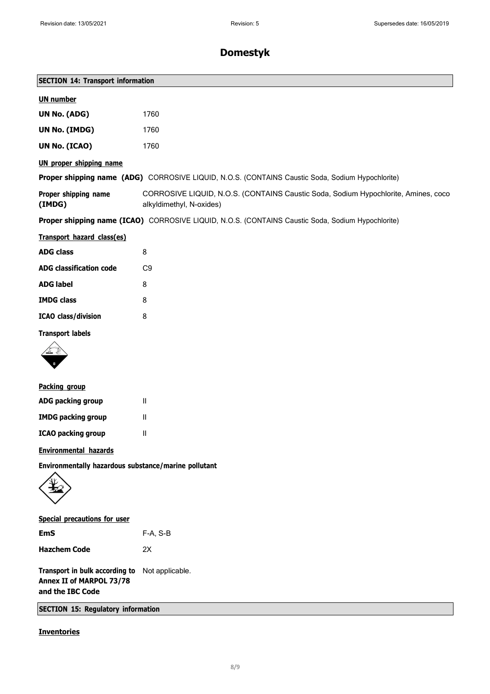| <b>SECTION 14: Transport information</b>                                       |                                                                                                                |  |
|--------------------------------------------------------------------------------|----------------------------------------------------------------------------------------------------------------|--|
| <b>UN number</b>                                                               |                                                                                                                |  |
| UN No. (ADG)                                                                   | 1760                                                                                                           |  |
| <b>UN No. (IMDG)</b>                                                           | 1760                                                                                                           |  |
| UN No. (ICAO)                                                                  | 1760                                                                                                           |  |
| <b>UN proper shipping name</b>                                                 |                                                                                                                |  |
|                                                                                | Proper shipping name (ADG) CORROSIVE LIQUID, N.O.S. (CONTAINS Caustic Soda, Sodium Hypochlorite)               |  |
| Proper shipping name<br>(IMDG)                                                 | CORROSIVE LIQUID, N.O.S. (CONTAINS Caustic Soda, Sodium Hypochlorite, Amines, coco<br>alkyldimethyl, N-oxides) |  |
|                                                                                | Proper shipping name (ICAO) CORROSIVE LIQUID, N.O.S. (CONTAINS Caustic Soda, Sodium Hypochlorite)              |  |
| Transport hazard class(es)                                                     |                                                                                                                |  |
| <b>ADG class</b>                                                               | 8                                                                                                              |  |
| <b>ADG classification code</b>                                                 | C <sub>9</sub>                                                                                                 |  |
| <b>ADG label</b>                                                               | 8                                                                                                              |  |
| <b>IMDG class</b>                                                              | 8                                                                                                              |  |
| <b>ICAO</b> class/division                                                     | 8                                                                                                              |  |
| <b>Transport labels</b>                                                        |                                                                                                                |  |
|                                                                                |                                                                                                                |  |
| Packing group                                                                  |                                                                                                                |  |
| ADG packing group                                                              | $\mathbf{II}$                                                                                                  |  |
| <b>IMDG packing group</b>                                                      | $\mathbf{H}$                                                                                                   |  |
| <b>ICAO packing group</b>                                                      | $\mathbf{H}$                                                                                                   |  |
| <b>Environmental hazards</b>                                                   |                                                                                                                |  |
| Environmentally hazardous substance/marine pollutant                           |                                                                                                                |  |
| <b>Special precautions for user</b>                                            |                                                                                                                |  |
| <b>EmS</b>                                                                     | F-A, S-B                                                                                                       |  |
| <b>Hazchem Code</b>                                                            | 2X                                                                                                             |  |
| Transport in bulk according to<br>Annex II of MARPOL 73/78<br>and the IBC Code | Not applicable.                                                                                                |  |
| <b>SECTION 15: Regulatory information</b>                                      |                                                                                                                |  |
| <b>Inventories</b>                                                             |                                                                                                                |  |